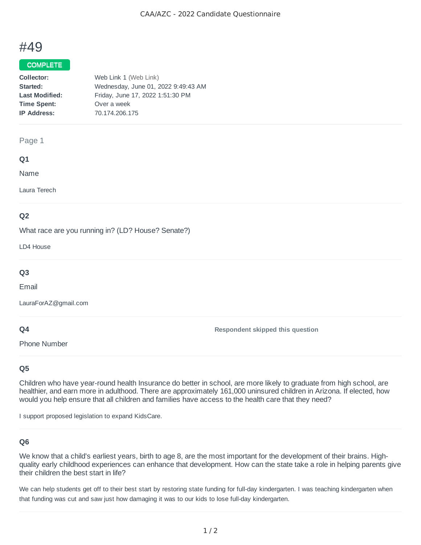# #49

## COMPLETE

| Collector:            | Web Link 1 (Web Link)               |
|-----------------------|-------------------------------------|
| Started:              | Wednesday, June 01, 2022 9:49:43 AM |
| <b>Last Modified:</b> | Friday, June 17, 2022 1:51:30 PM    |
| <b>Time Spent:</b>    | Over a week                         |
| <b>IP Address:</b>    | 70.174.206.175                      |
|                       |                                     |

#### Page 1

### **Q1**

Name

Laura Terech

## **Q2**

What race are you running in? (LD? House? Senate?)

LD4 House

## **Q3**

Email

LauraForAZ@gmail.com

### **Q4**

Phone Number

**Respondent skipped this question**

## **Q5**

Children who have year-round health Insurance do better in school, are more likely to graduate from high school, are healthier, and earn more in adulthood. There are approximately 161,000 uninsured children in Arizona. If elected, how would you help ensure that all children and families have access to the health care that they need?

I support proposed legislation to expand KidsCare.

## **Q6**

We know that a child's earliest years, birth to age 8, are the most important for the development of their brains. Highquality early childhood experiences can enhance that development. How can the state take a role in helping parents give their children the best start in life?

We can help students get off to their best start by restoring state funding for full-day kindergarten. I was teaching kindergarten when that funding was cut and saw just how damaging it was to our kids to lose full-day kindergarten.